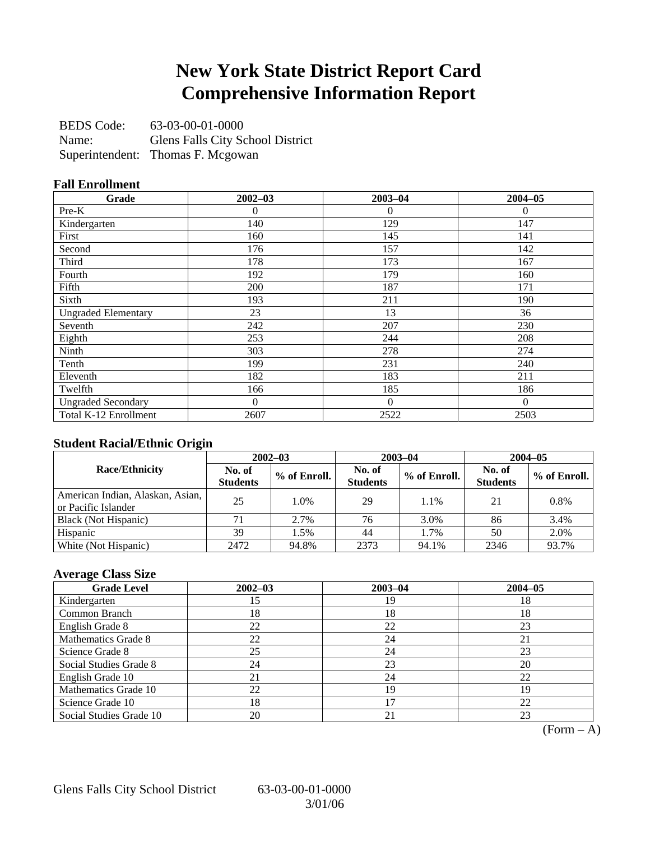## **New York State District Report Card Comprehensive Information Report**

BEDS Code: 63-03-00-01-0000 Name: Glens Falls City School District Superintendent: Thomas F. Mcgowan

### **Fall Enrollment**

| Grade                      | $2002 - 03$    | $2003 - 04$    | $2004 - 05$ |
|----------------------------|----------------|----------------|-------------|
| $Pre-K$                    | 0              | $\overline{0}$ | $\Omega$    |
| Kindergarten               | 140            | 129            | 147         |
| First                      | 160            | 145            | 141         |
| Second                     | 176            | 157            | 142         |
| Third                      | 178            | 173            | 167         |
| Fourth                     | 192            | 179            | 160         |
| Fifth                      | 200            | 187            | 171         |
| Sixth                      | 193            | 211            | 190         |
| <b>Ungraded Elementary</b> | 23             | 13             | 36          |
| Seventh                    | 242            | 207            | 230         |
| Eighth                     | 253            | 244            | 208         |
| Ninth                      | 303            | 278            | 274         |
| Tenth                      | 199            | 231            | 240         |
| Eleventh                   | 182            | 183            | 211         |
| Twelfth                    | 166            | 185            | 186         |
| <b>Ungraded Secondary</b>  | $\overline{0}$ | $\Omega$       | $\Omega$    |
| Total K-12 Enrollment      | 2607           | 2522           | 2503        |

### **Student Racial/Ethnic Origin**

|                                                         | $2002 - 03$               |              |                           | $2003 - 04$  | $2004 - 05$               |              |  |
|---------------------------------------------------------|---------------------------|--------------|---------------------------|--------------|---------------------------|--------------|--|
| <b>Race/Ethnicity</b>                                   | No. of<br><b>Students</b> | % of Enroll. | No. of<br><b>Students</b> | % of Enroll. | No. of<br><b>Students</b> | % of Enroll. |  |
| American Indian, Alaskan, Asian,<br>or Pacific Islander | 25                        | 1.0%         | 29                        | 1.1%         | 21                        | 0.8%         |  |
| Black (Not Hispanic)                                    |                           | 2.7%         | 76                        | 3.0%         | 86                        | 3.4%         |  |
| Hispanic                                                | 39                        | 1.5%         | 44                        | 1.7%         | 50                        | 2.0%         |  |
| White (Not Hispanic)                                    | 2472                      | 94.8%        | 2373                      | 94.1%        | 2346                      | 93.7%        |  |

## **Average Class Size**

| <b>Grade Level</b>      | $2002 - 03$ | $2003 - 04$ | $2004 - 05$ |
|-------------------------|-------------|-------------|-------------|
| Kindergarten            | 15          | 19          | 18          |
| Common Branch           | 18          | 18          | 18          |
| English Grade 8         | 22          | 22          | 23          |
| Mathematics Grade 8     | 22          | 24          | 21          |
| Science Grade 8         | 25          | 24          | 23          |
| Social Studies Grade 8  | 24          | 23          | 20          |
| English Grade 10        | 21          | 24          | 22          |
| Mathematics Grade 10    | 22          | 19          | 19          |
| Science Grade 10        | 18          |             | 22          |
| Social Studies Grade 10 | 20          | 21          | 23          |

 $(Form - A)$ 

Glens Falls City School District 63-03-00-01-0000

3/01/06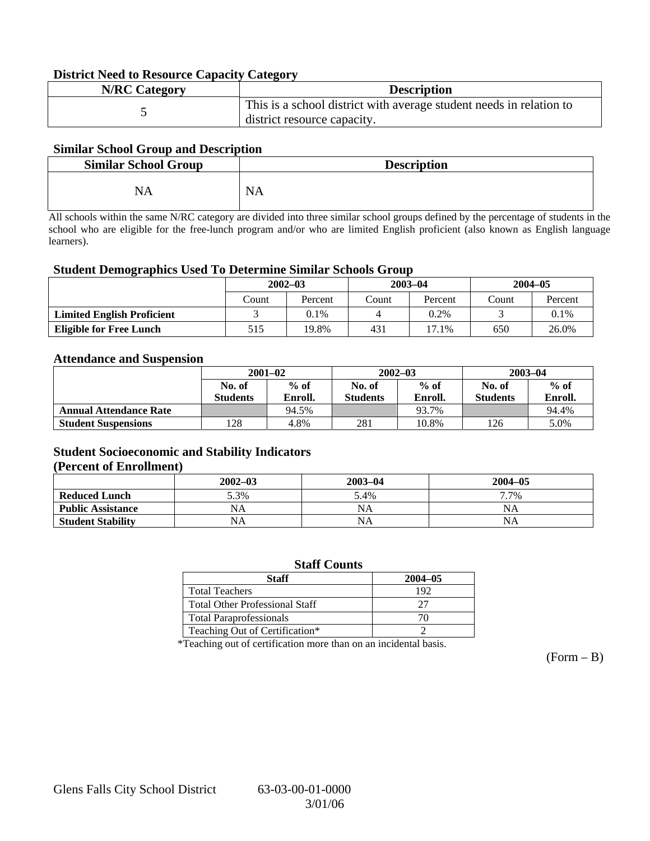### **District Need to Resource Capacity Category**

| <b>N/RC Category</b> | <b>Description</b>                                                                                 |
|----------------------|----------------------------------------------------------------------------------------------------|
|                      | This is a school district with average student needs in relation to<br>district resource capacity. |

### **Similar School Group and Description**

| <b>Similar School Group</b> | <b>Description</b> |
|-----------------------------|--------------------|
| NA                          | <b>NA</b>          |

All schools within the same N/RC category are divided into three similar school groups defined by the percentage of students in the school who are eligible for the free-lunch program and/or who are limited English proficient (also known as English language learners).

#### **Student Demographics Used To Determine Similar Schools Group**

|                                   | $2002 - 03$ |         |       | $2003 - 04$ | $2004 - 05$ |         |
|-----------------------------------|-------------|---------|-------|-------------|-------------|---------|
|                                   | Count       | Percent | Count | Percent     | Count       | Percent |
| <b>Limited English Proficient</b> |             | $0.1\%$ |       | 0.2%        |             | 0.1%    |
| <b>Eligible for Free Lunch</b>    | 515         | 19.8%   | 431   | 17.1%       | 650         | 26.0%   |

#### **Attendance and Suspension**

|                               | $2001 - 02$<br>$%$ of<br>No. of |         |                 | $2002 - 03$ | $2003 - 04$     |         |
|-------------------------------|---------------------------------|---------|-----------------|-------------|-----------------|---------|
|                               |                                 |         | No. of          | $%$ of      | No. of          | $%$ of  |
|                               | <b>Students</b>                 | Enroll. | <b>Students</b> | Enroll.     | <b>Students</b> | Enroll. |
| <b>Annual Attendance Rate</b> |                                 | 94.5%   |                 | 93.7%       |                 | 94.4%   |
| <b>Student Suspensions</b>    | 128                             | 4.8%    | 281             | 10.8%       | 126             | 5.0%    |

### **Student Socioeconomic and Stability Indicators (Percent of Enrollment)**

|                          | $2002 - 03$ | $2003 - 04$ | $2004 - 05$ |
|--------------------------|-------------|-------------|-------------|
| <b>Reduced Lunch</b>     | 5.3%        | 5.4%        | 7.7%        |
| <b>Public Assistance</b> | NA          | NA          | NA          |
| <b>Student Stability</b> | NA          | <b>NA</b>   | NA          |

#### **Staff Counts**

| Staff                                 | $2004 - 05$ |
|---------------------------------------|-------------|
| <b>Total Teachers</b>                 | 192         |
| <b>Total Other Professional Staff</b> | フフ          |
| <b>Total Paraprofessionals</b>        |             |
| Teaching Out of Certification*        |             |

\*Teaching out of certification more than on an incidental basis.

 $(Form - B)$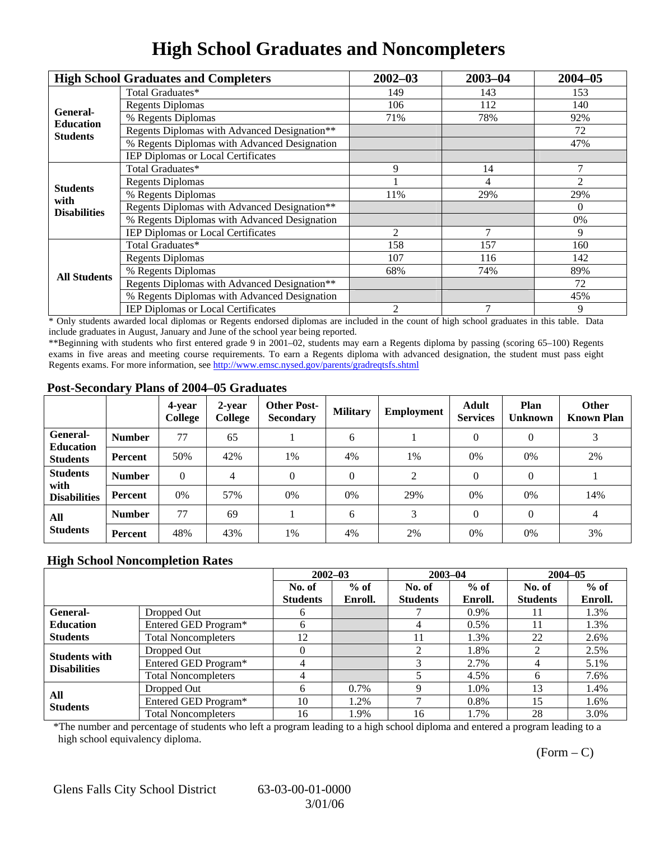# **High School Graduates and Noncompleters**

|                         | <b>High School Graduates and Completers</b>  | $2002 - 03$                                               | $2003 - 04$ | $2004 - 05$ |
|-------------------------|----------------------------------------------|-----------------------------------------------------------|-------------|-------------|
|                         | Total Graduates*                             | 149                                                       | 143         | 153         |
| General-                | <b>Regents Diplomas</b>                      | 106                                                       | 112         | 140         |
| <b>Education</b>        | % Regents Diplomas                           | 71%                                                       | 78%         | 92%         |
| <b>Students</b>         | Regents Diplomas with Advanced Designation** |                                                           |             | 72          |
|                         | % Regents Diplomas with Advanced Designation |                                                           |             | 47%         |
|                         | IEP Diplomas or Local Certificates           |                                                           |             |             |
|                         | Total Graduates*                             | 9                                                         | 14          | 7           |
|                         | <b>Regents Diplomas</b>                      |                                                           | 4           | 2           |
| <b>Students</b><br>with | % Regents Diplomas                           | 11%                                                       | 29%         | 29%         |
| <b>Disabilities</b>     | Regents Diplomas with Advanced Designation** |                                                           |             | $\Omega$    |
|                         | % Regents Diplomas with Advanced Designation |                                                           |             | 0%          |
|                         | IEP Diplomas or Local Certificates           | 2                                                         |             | 9           |
|                         | Total Graduates*                             | 158                                                       | 157         | 160         |
|                         | <b>Regents Diplomas</b>                      | 107                                                       | 116         | 142         |
| <b>All Students</b>     | % Regents Diplomas                           | 68%<br>74%<br>72<br>$\overline{7}$<br>$\overline{c}$<br>9 | 89%         |             |
|                         | Regents Diplomas with Advanced Designation** |                                                           |             |             |
|                         | % Regents Diplomas with Advanced Designation |                                                           |             | 45%         |
|                         | <b>IEP Diplomas or Local Certificates</b>    |                                                           |             |             |

\* Only students awarded local diplomas or Regents endorsed diplomas are included in the count of high school graduates in this table. Data include graduates in August, January and June of the school year being reported.

\*\*Beginning with students who first entered grade 9 in 2001–02, students may earn a Regents diploma by passing (scoring 65–100) Regents exams in five areas and meeting course requirements. To earn a Regents diploma with advanced designation, the student must pass eight Regents exams. For more information, see http://www.emsc.nysed.gov/parents/gradreqtsfs.shtml

### **Post-Secondary Plans of 2004–05 Graduates**

|                                                |                | 4-year<br>College | 2-year<br>College | <b>Other Post-</b><br><b>Secondary</b> | <b>Military</b> | Employment | <b>Adult</b><br><b>Services</b> | Plan<br><b>Unknown</b> | <b>Other</b><br><b>Known Plan</b> |
|------------------------------------------------|----------------|-------------------|-------------------|----------------------------------------|-----------------|------------|---------------------------------|------------------------|-----------------------------------|
| <b>General-</b><br><b>Education</b>            | <b>Number</b>  | 77                | 65                |                                        | 6               |            | $\Omega$                        | $\theta$               | 3                                 |
| <b>Students</b>                                | Percent        | 50%               | 42%               | 1%                                     | 4%              | 1%         | $0\%$                           | 0%                     | 2%                                |
| <b>Students</b><br>with<br><b>Disabilities</b> | <b>Number</b>  | $\theta$          | $\overline{4}$    | 0                                      | $\Omega$        | 2          | $\Omega$                        | $\Omega$               |                                   |
|                                                | Percent        | 0%                | 57%               | 0%                                     | 0%              | 29%        | 0%                              | 0%                     | 14%                               |
| All<br><b>Students</b>                         | <b>Number</b>  | 77                | 69                |                                        | 6               | 3          | $\Omega$                        | $\Omega$               | 4                                 |
|                                                | <b>Percent</b> | 48%               | 43%               | 1%                                     | 4%              | 2%         | 0%                              | 0%                     | 3%                                |

### **High School Noncompletion Rates**

|                                             |                            | $2002 - 03$<br>$2003 - 04$ |         |                 | $2004 - 05$ |                 |         |
|---------------------------------------------|----------------------------|----------------------------|---------|-----------------|-------------|-----------------|---------|
|                                             |                            | No. of                     | $%$ of  | No. of          | $%$ of      | No. of          | $%$ of  |
|                                             |                            | <b>Students</b>            | Enroll. | <b>Students</b> | Enroll.     | <b>Students</b> | Enroll. |
| <b>General-</b>                             | Dropped Out                | <sub>0</sub>               |         |                 | 0.9%        | 11              | 1.3%    |
| <b>Education</b>                            | Entered GED Program*       | h.                         |         | 4               | $0.5\%$     | 11              | 1.3%    |
| <b>Students</b>                             | <b>Total Noncompleters</b> | 12                         |         | 11              | 1.3%        | 22              | 2.6%    |
|                                             | Dropped Out                |                            |         | 2               | 1.8%        | $\mathfrak{D}$  | 2.5%    |
| <b>Students with</b><br><b>Disabilities</b> | Entered GED Program*       |                            |         | 3               | 2.7%        |                 | 5.1%    |
|                                             | <b>Total Noncompleters</b> |                            |         |                 | 4.5%        | <sub>0</sub>    | 7.6%    |
| All<br><b>Students</b>                      | Dropped Out                | h                          | 0.7%    |                 | 1.0%        | 13              | 1.4%    |
|                                             | Entered GED Program*       | 10                         | 1.2%    |                 | 0.8%        | 15              | 1.6%    |
|                                             | <b>Total Noncompleters</b> | 16                         | 1.9%    | 16              | 1.7%        | 28              | 3.0%    |

\*The number and percentage of students who left a program leading to a high school diploma and entered a program leading to a high school equivalency diploma.

 $(Form - C)$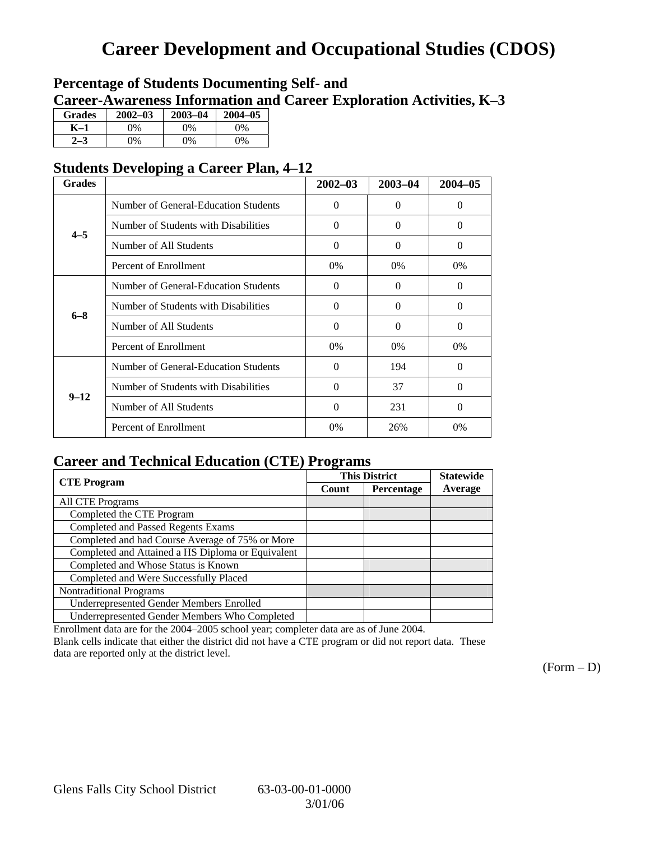## **Career Development and Occupational Studies (CDOS)**

## **Percentage of Students Documenting Self- and Career-Awareness Information and Career Exploration Activities, K–3**

| <b>Grades</b> | $2002 - 03$ | $2003 - 04$ | $2004 - 05$ |
|---------------|-------------|-------------|-------------|
| K–1           | 9%          | $0\%$       | 0%          |
| $2 - 3$       | 9%          | 0%          | 0%          |

## **Students Developing a Career Plan, 4–12**

| <b>Grades</b> |                                      | $2002 - 03$ | $2003 - 04$       | $2004 - 05$ |
|---------------|--------------------------------------|-------------|-------------------|-------------|
|               | Number of General-Education Students | $\Omega$    | $\mathbf{\Omega}$ | $\Omega$    |
| $4 - 5$       | Number of Students with Disabilities | $\Omega$    | 0                 | $\Omega$    |
|               | Number of All Students               | $\Omega$    | 0                 | $\Omega$    |
|               | Percent of Enrollment                | 0%          | $0\%$             | $0\%$       |
|               | Number of General-Education Students | $\Omega$    | $\Omega$          | $\Omega$    |
| $6 - 8$       | Number of Students with Disabilities | $\Omega$    | 0                 | 0           |
|               | Number of All Students               | $\Omega$    | 0                 | $\Omega$    |
|               | Percent of Enrollment                | $0\%$       | $0\%$             | $0\%$       |
|               | Number of General-Education Students | $\Omega$    | 194               | $\Omega$    |
| $9 - 12$      | Number of Students with Disabilities | $\theta$    | 37                | $\Omega$    |
|               | Number of All Students               | $\theta$    | 231               | $\Omega$    |
|               | Percent of Enrollment                | 0%          | 26%               | $0\%$       |

## **Career and Technical Education (CTE) Programs**

|                                                   |       | <b>This District</b> | <b>Statewide</b> |
|---------------------------------------------------|-------|----------------------|------------------|
| <b>CTE</b> Program                                | Count | Percentage           | Average          |
| <b>All CTE Programs</b>                           |       |                      |                  |
| Completed the CTE Program                         |       |                      |                  |
| <b>Completed and Passed Regents Exams</b>         |       |                      |                  |
| Completed and had Course Average of 75% or More   |       |                      |                  |
| Completed and Attained a HS Diploma or Equivalent |       |                      |                  |
| Completed and Whose Status is Known               |       |                      |                  |
| Completed and Were Successfully Placed            |       |                      |                  |
| <b>Nontraditional Programs</b>                    |       |                      |                  |
| <b>Underrepresented Gender Members Enrolled</b>   |       |                      |                  |
| Underrepresented Gender Members Who Completed     |       |                      |                  |

Enrollment data are for the 2004–2005 school year; completer data are as of June 2004.

Blank cells indicate that either the district did not have a CTE program or did not report data. These data are reported only at the district level.

 $(Form - D)$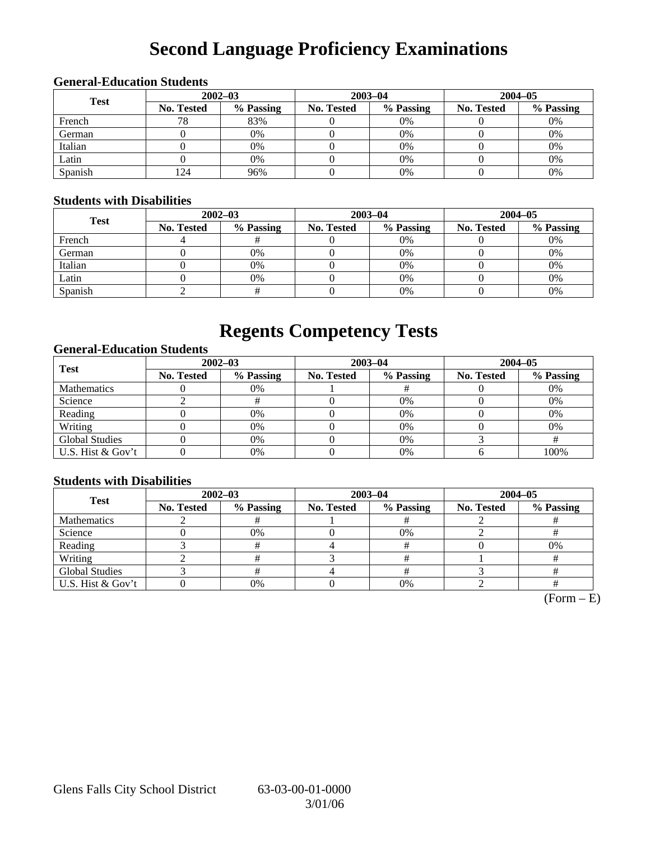# **Second Language Proficiency Examinations**

## **General-Education Students**

| <b>Test</b> | $2002 - 03$       |           |                   | $2003 - 04$ | $2004 - 05$       |           |  |
|-------------|-------------------|-----------|-------------------|-------------|-------------------|-----------|--|
|             | <b>No. Tested</b> | % Passing | <b>No. Tested</b> | % Passing   | <b>No. Tested</b> | % Passing |  |
| French      | 78                | 83%       |                   | 0%          |                   | 0%        |  |
| German      |                   | 0%        |                   | 0%          |                   | 0%        |  |
| Italian     |                   | 0%        |                   | 0%          |                   | 0%        |  |
| Latin       |                   | 0%        |                   | 0%          |                   | 0%        |  |
| Spanish     | 124               | 96%       |                   | 0%          |                   | 0%        |  |

### **Students with Disabilities**

| <b>Test</b> | $2002 - 03$ |           |            | $2003 - 04$ | $2004 - 05$       |           |  |
|-------------|-------------|-----------|------------|-------------|-------------------|-----------|--|
|             | No. Tested  | % Passing | No. Tested | % Passing   | <b>No. Tested</b> | % Passing |  |
| French      |             |           |            | $0\%$       |                   | 0%        |  |
| German      |             | 0%        |            | $0\%$       |                   | 0%        |  |
| Italian     |             | 0%        |            | $0\%$       |                   | 0%        |  |
| Latin       |             | 0%        |            | 0%          |                   | 0%        |  |
| Spanish     |             |           |            | 0%          |                   | 0%        |  |

## **Regents Competency Tests**

### **General-Education Students**

| <b>Test</b>           | $2002 - 03$       |           |            | $2003 - 04$ | $2004 - 05$       |           |  |
|-----------------------|-------------------|-----------|------------|-------------|-------------------|-----------|--|
|                       | <b>No. Tested</b> | % Passing | No. Tested | % Passing   | <b>No. Tested</b> | % Passing |  |
| <b>Mathematics</b>    |                   | 0%        |            |             |                   | 0%        |  |
| Science               |                   |           |            | 0%          |                   | 0%        |  |
| Reading               |                   | 0%        |            | 0%          |                   | 0%        |  |
| Writing               |                   | 0%        |            | 0%          |                   | 0%        |  |
| <b>Global Studies</b> |                   | 0%        |            | $0\%$       |                   |           |  |
| U.S. Hist & Gov't     |                   | 0%        |            | 0%          |                   | 100%      |  |

### **Students with Disabilities**

| <b>Test</b>           | $2002 - 03$ |           | $2003 - 04$ |           | $2004 - 05$ |           |  |
|-----------------------|-------------|-----------|-------------|-----------|-------------|-----------|--|
|                       | No. Tested  | % Passing | No. Tested  | % Passing | No. Tested  | % Passing |  |
| <b>Mathematics</b>    |             |           |             |           |             |           |  |
| Science               |             | 0%        |             | 0%        |             |           |  |
| Reading               |             |           |             |           |             | 0%        |  |
| Writing               |             |           |             |           |             |           |  |
| <b>Global Studies</b> |             |           |             |           |             |           |  |
| U.S. Hist & Gov't     |             | 0%        |             | 0%        |             |           |  |

 $(Form - E)$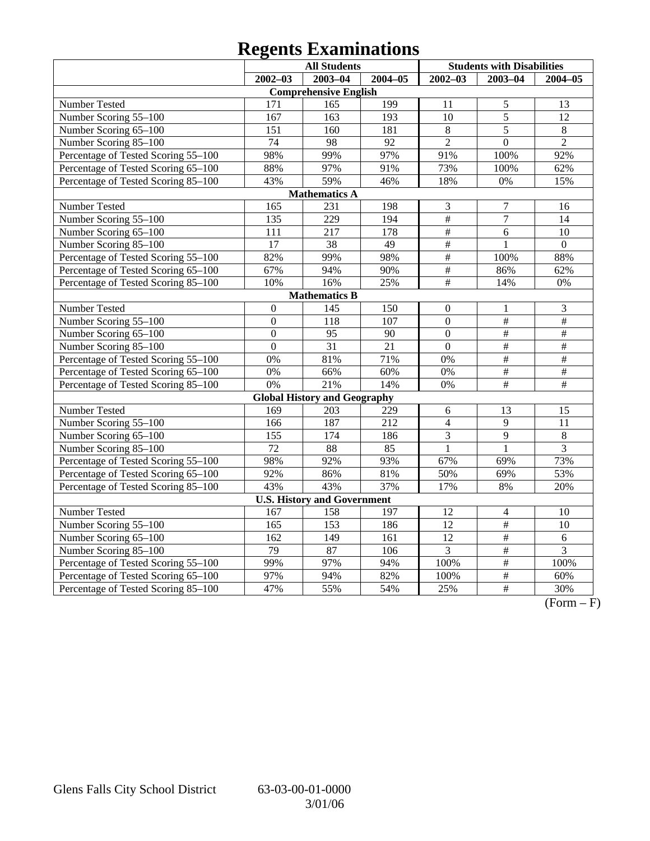# **Regents Examinations**

|                                     | <b>All Students</b> |                                     |                  | <b>Students with Disabilities</b> |                          |                 |
|-------------------------------------|---------------------|-------------------------------------|------------------|-----------------------------------|--------------------------|-----------------|
|                                     | $2002 - 03$         | $2003 - 04$                         | $2004 - 05$      | $2002 - 03$                       | $2003 - 04$              | $2004 - 05$     |
|                                     |                     | <b>Comprehensive English</b>        |                  |                                   |                          |                 |
| Number Tested                       | 171                 | 165                                 | 199              | 11                                | 5                        | 13              |
| Number Scoring 55-100               | 167                 | 163                                 | $\overline{193}$ | 10                                | $\overline{5}$           | $\overline{12}$ |
| Number Scoring 65-100               | 151                 | 160                                 | 181              | 8                                 | $\overline{5}$           | 8               |
| Number Scoring 85-100               | $\overline{74}$     | 98                                  | 92               | $\overline{2}$                    | $\overline{0}$           | $\overline{2}$  |
| Percentage of Tested Scoring 55-100 | 98%                 | 99%                                 | 97%              | 91%                               | 100%                     | 92%             |
| Percentage of Tested Scoring 65-100 | 88%                 | 97%                                 | 91%              | 73%                               | 100%                     | 62%             |
| Percentage of Tested Scoring 85-100 | 43%                 | 59%                                 | 46%              | 18%                               | 0%                       | 15%             |
|                                     |                     | <b>Mathematics A</b>                |                  |                                   |                          |                 |
| Number Tested                       | 165                 | 231                                 | 198              | 3                                 | $\overline{7}$           | 16              |
| Number Scoring 55-100               | 135                 | $\overline{229}$                    | 194              | $\overline{\#}$                   | $\overline{7}$           | 14              |
| Number Scoring 65-100               | 111                 | 217                                 | 178              | $\overline{\#}$                   | $\overline{6}$           | 10              |
| Number Scoring 85-100               | $\overline{17}$     | $\overline{38}$                     | 49               | #                                 | $\mathbf{1}$             | $\overline{0}$  |
| Percentage of Tested Scoring 55-100 | 82%                 | 99%                                 | 98%              | $\frac{1}{2}$                     | 100%                     | 88%             |
| Percentage of Tested Scoring 65-100 | 67%                 | 94%                                 | 90%              | $\#$                              | 86%                      | 62%             |
| Percentage of Tested Scoring 85-100 | 10%                 | 16%                                 | 25%              | #                                 | 14%                      | 0%              |
|                                     |                     | <b>Mathematics B</b>                |                  |                                   |                          |                 |
| Number Tested                       | $\boldsymbol{0}$    | 145                                 | 150              | $\theta$                          | $\mathbf{1}$             | 3               |
| Number Scoring 55-100               | $\overline{0}$      | 118                                 | 107              | $\overline{0}$                    | $\frac{1}{2}$            | $\#$            |
| Number Scoring 65-100               | $\boldsymbol{0}$    | 95                                  | 90               | $\overline{0}$                    | $\#$                     | $\#$            |
| Number Scoring 85-100               | $\overline{0}$      | $\overline{31}$                     | 21               | $\overline{0}$                    | $\frac{1}{2}$            | $\frac{1}{2}$   |
| Percentage of Tested Scoring 55-100 | 0%                  | 81%                                 | 71%              | 0%                                | $\overline{\#}$          | $\overline{\#}$ |
| Percentage of Tested Scoring 65-100 | 0%                  | 66%                                 | 60%              | 0%                                | $\overline{\#}$          | $\frac{1}{2}$   |
| Percentage of Tested Scoring 85-100 | 0%                  | 21%                                 | 14%              | 0%                                | #                        | $\overline{\#}$ |
|                                     |                     | <b>Global History and Geography</b> |                  |                                   |                          |                 |
| Number Tested                       | 169                 | 203                                 | 229              | 6                                 | 13                       | 15              |
| Number Scoring 55-100               | 166                 | 187                                 | 212              | $\overline{4}$                    | $\overline{9}$           | 11              |
| Number Scoring 65-100               | 155                 | 174                                 | 186              | 3                                 | 9                        | $8\,$           |
| Number Scoring 85-100               | $\overline{72}$     | 88                                  | 85               | $\mathbf{1}$                      | $\mathbf{1}$             | $\overline{3}$  |
| Percentage of Tested Scoring 55-100 | 98%                 | 92%                                 | 93%              | 67%                               | 69%                      | 73%             |
| Percentage of Tested Scoring 65-100 | 92%                 | 86%                                 | 81%              | 50%                               | 69%                      | 53%             |
| Percentage of Tested Scoring 85-100 | 43%                 | 43%                                 | 37%              | 17%                               | 8%                       | 20%             |
|                                     |                     | <b>U.S. History and Government</b>  |                  |                                   |                          |                 |
| Number Tested                       | 167                 | 158                                 | 197              | 12                                | $\overline{\mathcal{L}}$ | 10              |
| Number Scoring 55-100               | 165                 | 153                                 | 186              | 12                                | $\#$                     | 10              |
| Number Scoring 65-100               | 162                 | 149                                 | 161              | 12                                | $\overline{\#}$          | 6               |
| Number Scoring 85-100               | 79                  | 87                                  | 106              | $\overline{3}$                    | $\overline{\#}$          | $\overline{3}$  |
| Percentage of Tested Scoring 55-100 | 99%                 | 97%                                 | 94%              | 100%                              | $\overline{\#}$          | 100%            |
| Percentage of Tested Scoring 65-100 | 97%                 | 94%                                 | 82%              | 100%                              | $\frac{1}{2}$            | 60%             |
| Percentage of Tested Scoring 85-100 | 47%                 | 55%                                 | 54%              | 25%                               | $\overline{+}$           | 30%             |

 $\overline{(Form - F)}$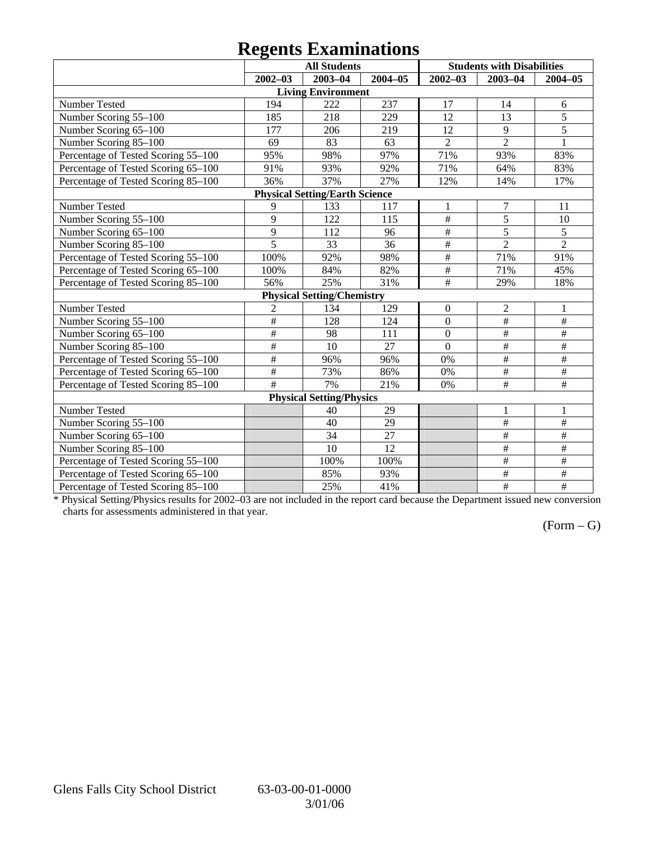## **Regents Examinations**

|                                     |                 | <b>All Students</b>                   |                 |                  | <b>Students with Disabilities</b> |                         |
|-------------------------------------|-----------------|---------------------------------------|-----------------|------------------|-----------------------------------|-------------------------|
|                                     | $2002 - 03$     | $2003 - 04$                           | $2004 - 05$     | $2002 - 03$      | $2003 - 04$                       | $2004 - 05$             |
|                                     |                 | <b>Living Environment</b>             |                 |                  |                                   |                         |
| Number Tested                       | 194             | 222                                   | 237             | 17               | 14                                | 6                       |
| Number Scoring 55-100               | 185             | 218                                   | 229             | 12               | 13                                | $\overline{5}$          |
| Number Scoring 65-100               | 177             | 206                                   | 219             | 12               | 9                                 | $\overline{5}$          |
| Number Scoring 85-100               | 69              | 83                                    | 63              | $\overline{2}$   | $\overline{2}$                    | $\mathbf{1}$            |
| Percentage of Tested Scoring 55-100 | 95%             | 98%                                   | 97%             | 71%              | 93%                               | 83%                     |
| Percentage of Tested Scoring 65-100 | 91%             | 93%                                   | 92%             | 71%              | 64%                               | 83%                     |
| Percentage of Tested Scoring 85-100 | 36%             | 37%                                   | 27%             | 12%              | 14%                               | 17%                     |
|                                     |                 | <b>Physical Setting/Earth Science</b> |                 |                  |                                   |                         |
| Number Tested                       | 9               | 133                                   | 117             | 1                | 7                                 | 11                      |
| Number Scoring 55-100               | 9               | 122                                   | 115             | $\#$             | 5                                 | 10                      |
| Number Scoring 65-100               | 9               | 112                                   | 96              | $\#$             | 5                                 | 5                       |
| Number Scoring 85-100               | $\overline{5}$  | $\overline{33}$                       | $\overline{36}$ | $\overline{\#}$  | $\overline{2}$                    | $\overline{2}$          |
| Percentage of Tested Scoring 55-100 | 100%            | 92%                                   | 98%             | $\overline{\#}$  | 71%                               | 91%                     |
| Percentage of Tested Scoring 65-100 | 100%            | 84%                                   | 82%             | $\frac{1}{2}$    | 71%                               | 45%                     |
| Percentage of Tested Scoring 85-100 | 56%             | 25%                                   | 31%             | $\overline{\#}$  | 29%                               | 18%                     |
|                                     |                 | <b>Physical Setting/Chemistry</b>     |                 |                  |                                   |                         |
| Number Tested                       | $\overline{2}$  | 134                                   | 129             | $\boldsymbol{0}$ | $\overline{2}$                    | $\mathbf{1}$            |
| Number Scoring 55-100               | #               | 128                                   | 124             | $\overline{0}$   | #                                 | #                       |
| Number Scoring 65-100               | #               | 98                                    | 111             | $\overline{0}$   | #                                 | #                       |
| Number Scoring 85-100               | $\overline{\#}$ | 10                                    | 27              | $\overline{0}$   | $\overline{\#}$                   | $\#$                    |
| Percentage of Tested Scoring 55-100 | $\overline{\#}$ | 96%                                   | 96%             | 0%               | $\#$                              | $\#$                    |
| Percentage of Tested Scoring 65-100 | $\#$            | 73%                                   | 86%             | 0%               | $\#$                              | $\#$                    |
| Percentage of Tested Scoring 85-100 | $\overline{+}$  | 7%                                    | 21%             | 0%               | $\#$                              | $\#$                    |
|                                     |                 | <b>Physical Setting/Physics</b>       |                 |                  |                                   |                         |
| Number Tested                       |                 | 40                                    | 29              |                  | 1                                 | 1                       |
| Number Scoring 55-100               |                 | 40                                    | 29              |                  | $\#$                              | $\#$                    |
| Number Scoring 65-100               |                 | 34                                    | 27              |                  | $\#$                              | $\#$                    |
| Number Scoring 85-100               |                 | 10                                    | 12              |                  | $\#$                              | $\#$                    |
| Percentage of Tested Scoring 55-100 |                 | 100%                                  | 100%            |                  | $\#$                              | $\overline{\#}$         |
| Percentage of Tested Scoring 65-100 |                 | 85%                                   | 93%             |                  | $\overline{\#}$                   | $\overline{\ddot{\pi}}$ |
| Percentage of Tested Scoring 85-100 |                 | 25%                                   | 41%             |                  | $\overline{\#}$                   | $\overline{\#}$         |

\* Physical Setting/Physics results for 2002–03 are not included in the report card because the Department issued new conversion charts for assessments administered in that year.

## $(Form - G)$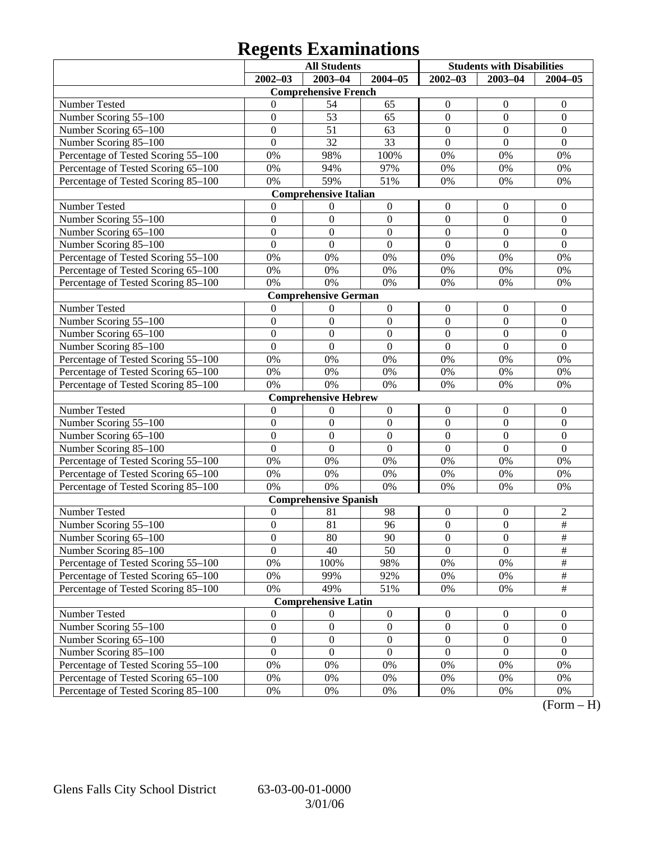# **Regents Examinations**

|                                     | <b>All Students</b> |                              | <b>Students with Disabilities</b> |                  |                  |                  |
|-------------------------------------|---------------------|------------------------------|-----------------------------------|------------------|------------------|------------------|
|                                     | $2002 - 03$         | $2003 - 04$                  | $2004 - 05$                       | $2002 - 03$      | $2003 - 04$      | $2004 - 05$      |
|                                     |                     | <b>Comprehensive French</b>  |                                   |                  |                  |                  |
| Number Tested                       | 0                   | 54                           | 65                                | $\boldsymbol{0}$ | $\theta$         | $\theta$         |
| Number Scoring 55-100               | $\boldsymbol{0}$    | 53                           | 65                                | $\boldsymbol{0}$ | $\mathbf{0}$     | $\boldsymbol{0}$ |
| Number Scoring 65-100               | $\overline{0}$      | 51                           | 63                                | $\mathbf{0}$     | $\boldsymbol{0}$ | $\overline{0}$   |
| Number Scoring 85-100               | $\overline{0}$      | 32                           | 33                                | $\overline{0}$   | $\overline{0}$   | $\mathbf{0}$     |
| Percentage of Tested Scoring 55-100 | 0%                  | 98%                          | 100%                              | 0%               | 0%               | 0%               |
| Percentage of Tested Scoring 65-100 | 0%                  | 94%                          | 97%                               | 0%               | 0%               | 0%               |
| Percentage of Tested Scoring 85-100 | 0%                  | 59%                          | 51%                               | 0%               | 0%               | 0%               |
|                                     |                     | <b>Comprehensive Italian</b> |                                   |                  |                  |                  |
| Number Tested                       | 0                   | $\boldsymbol{0}$             | $\boldsymbol{0}$                  | $\boldsymbol{0}$ | $\boldsymbol{0}$ | $\overline{0}$   |
| Number Scoring 55-100               | $\boldsymbol{0}$    | $\mathbf{0}$                 | $\boldsymbol{0}$                  | $\mathbf{0}$     | $\mathbf{0}$     | $\boldsymbol{0}$ |
| Number Scoring 65-100               | $\overline{0}$      | $\mathbf{0}$                 | $\mathbf{0}$                      | $\mathbf{0}$     | $\theta$         | $\overline{0}$   |
| Number Scoring 85-100               | $\overline{0}$      | $\boldsymbol{0}$             | $\overline{0}$                    | $\overline{0}$   | $\overline{0}$   | $\mathbf{0}$     |
| Percentage of Tested Scoring 55-100 | 0%                  | 0%                           | 0%                                | 0%               | 0%               | 0%               |
| Percentage of Tested Scoring 65-100 | 0%                  | 0%                           | $0\%$                             | 0%               | 0%               | 0%               |
| Percentage of Tested Scoring 85-100 | 0%                  | 0%                           | 0%                                | 0%               | 0%               | 0%               |
|                                     |                     | <b>Comprehensive German</b>  |                                   |                  |                  |                  |
| Number Tested                       | $\theta$            | $\boldsymbol{0}$             | $\boldsymbol{0}$                  | $\boldsymbol{0}$ | $\boldsymbol{0}$ | $\mathbf{0}$     |
| Number Scoring 55-100               | $\boldsymbol{0}$    | $\mathbf{0}$                 | $\boldsymbol{0}$                  | $\mathbf{0}$     | $\mathbf{0}$     | $\boldsymbol{0}$ |
| Number Scoring 65-100               | $\overline{0}$      | $\mathbf{0}$                 | $\mathbf{0}$                      | $\mathbf{0}$     | $\boldsymbol{0}$ | $\overline{0}$   |
| Number Scoring 85-100               | $\overline{0}$      | $\overline{0}$               | $\overline{0}$                    | $\overline{0}$   | $\overline{0}$   | $\overline{0}$   |
| Percentage of Tested Scoring 55-100 | 0%                  | 0%                           | 0%                                | 0%               | 0%               | 0%               |
| Percentage of Tested Scoring 65-100 | 0%                  | 0%                           | 0%                                | 0%               | 0%               | 0%               |
| Percentage of Tested Scoring 85-100 | 0%                  | 0%                           | 0%                                | 0%               | 0%               | 0%               |
|                                     |                     | <b>Comprehensive Hebrew</b>  |                                   |                  |                  |                  |
| Number Tested                       | $\boldsymbol{0}$    | $\boldsymbol{0}$             | $\boldsymbol{0}$                  | $\boldsymbol{0}$ | $\boldsymbol{0}$ | $\mathbf{0}$     |
| Number Scoring 55-100               | $\boldsymbol{0}$    | $\boldsymbol{0}$             | $\boldsymbol{0}$                  | $\mathbf{0}$     | $\overline{0}$   | $\boldsymbol{0}$ |
| Number Scoring 65-100               | $\overline{0}$      | $\mathbf{0}$                 | $\mathbf{0}$                      | $\boldsymbol{0}$ | $\boldsymbol{0}$ | $\mathbf{0}$     |
| Number Scoring 85-100               | $\overline{0}$      | $\boldsymbol{0}$             | $\overline{0}$                    | $\overline{0}$   | $\overline{0}$   | $\overline{0}$   |
| Percentage of Tested Scoring 55-100 | 0%                  | 0%                           | 0%                                | 0%               | 0%               | 0%               |
| Percentage of Tested Scoring 65-100 | 0%                  | 0%                           | $0\%$                             | 0%               | 0%               | 0%               |
| Percentage of Tested Scoring 85-100 | 0%                  | 0%                           | 0%                                | 0%               | 0%               | 0%               |
|                                     |                     | <b>Comprehensive Spanish</b> |                                   |                  |                  |                  |
| Number Tested                       | $\boldsymbol{0}$    | 81                           | 98                                | $\boldsymbol{0}$ | $\boldsymbol{0}$ | $\overline{c}$   |
| Number Scoring 55-100               | $\boldsymbol{0}$    | 81                           | 96                                | $\boldsymbol{0}$ | $\boldsymbol{0}$ | $\#$             |
| Number Scoring 65–100               | $\boldsymbol{0}$    | 80                           | 90                                | $\theta$         | $\boldsymbol{0}$ | $\#$             |
| Number Scoring 85-100               | $\overline{0}$      | 40                           | 50                                | $\Omega$         | $\theta$         | $\frac{1}{2}$    |
| Percentage of Tested Scoring 55-100 | 0%                  | 100%                         | 98%                               | 0%               | 0%               | $\#$             |
| Percentage of Tested Scoring 65-100 | 0%                  | 99%                          | 92%                               | 0%               | 0%               | $\#$             |
| Percentage of Tested Scoring 85-100 | 0%                  | 49%                          | 51%                               | 0%               | 0%               | $\#$             |
|                                     |                     | <b>Comprehensive Latin</b>   |                                   |                  |                  |                  |
| Number Tested                       | $\boldsymbol{0}$    | $\boldsymbol{0}$             | $\boldsymbol{0}$                  | $\boldsymbol{0}$ | $\boldsymbol{0}$ | $\mathbf{0}$     |
| Number Scoring 55-100               | $\boldsymbol{0}$    | $\boldsymbol{0}$             | $\boldsymbol{0}$                  | $\boldsymbol{0}$ | $\boldsymbol{0}$ | $\boldsymbol{0}$ |
| Number Scoring 65-100               | $\boldsymbol{0}$    | $\boldsymbol{0}$             | $\boldsymbol{0}$                  | $\boldsymbol{0}$ | $\boldsymbol{0}$ | $\boldsymbol{0}$ |
| Number Scoring 85-100               | $\overline{0}$      | $\boldsymbol{0}$             | $\mathbf{0}$                      | $\mathbf{0}$     | $\mathbf{0}$     | $\boldsymbol{0}$ |
| Percentage of Tested Scoring 55-100 | 0%                  | 0%                           | $0\%$                             | 0%               | 0%               | 0%               |
| Percentage of Tested Scoring 65-100 | 0%                  | 0%                           | 0%                                | 0%               | 0%               | 0%               |
| Percentage of Tested Scoring 85-100 | 0%                  | 0%                           | 0%                                | 0%               | 0%               | 0%               |

 $(Form - H)$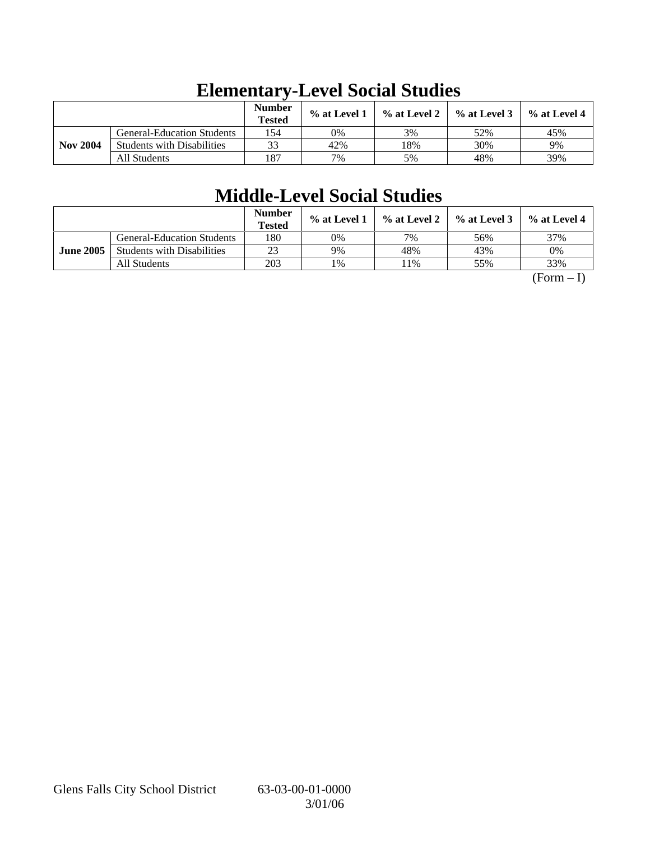|                 |                                   | <b>Number</b><br><b>Tested</b> | % at Level 1 | % at Level 2 | $%$ at Level 3 | $%$ at Level 4 |
|-----------------|-----------------------------------|--------------------------------|--------------|--------------|----------------|----------------|
|                 | <b>General-Education Students</b> | 154                            | 0%           | 3%           | 52%            | 45%            |
| <b>Nov 2004</b> | <b>Students with Disabilities</b> | 33                             | 42%          | 18%          | 30%            | 9%             |
|                 | All Students                      | 187                            | 7%           | 5%           | 48%            | 39%            |

# **Elementary-Level Social Studies**

# **Middle-Level Social Studies**

|                  |                                   | <b>Number</b><br><b>Tested</b> | % at Level 1 | % at Level 2 | $%$ at Level 3 | % at Level 4 |
|------------------|-----------------------------------|--------------------------------|--------------|--------------|----------------|--------------|
|                  | <b>General-Education Students</b> | 180                            | 0%           | 7%           | 56%            | 37%          |
| <b>June 2005</b> | <b>Students with Disabilities</b> | 23                             | 9%           | 48%          | 43%            | 0%           |
|                  | All Students                      | 203                            | 1%           | 1%           | 55%            | 33%          |

 $(Form - I)$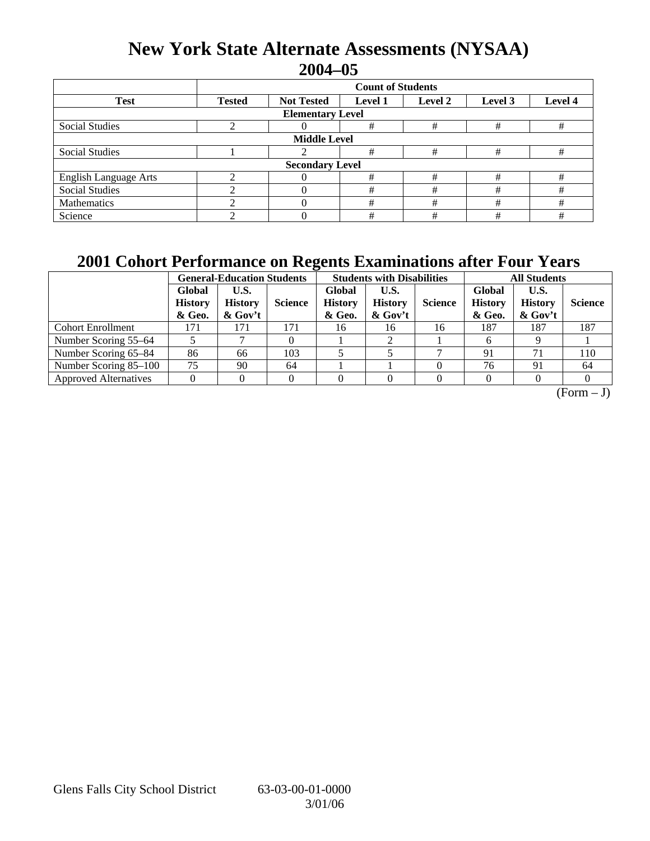## **New York State Alternate Assessments (NYSAA) 2004–05**

|                              | <b>Count of Students</b> |                                                                      |   |   |   |   |  |  |  |
|------------------------------|--------------------------|----------------------------------------------------------------------|---|---|---|---|--|--|--|
| <b>Test</b>                  | <b>Tested</b>            | Level 4<br><b>Not Tested</b><br>Level 2<br>Level 3<br><b>Level 1</b> |   |   |   |   |  |  |  |
| <b>Elementary Level</b>      |                          |                                                                      |   |   |   |   |  |  |  |
| <b>Social Studies</b>        |                          |                                                                      | # | # | # | # |  |  |  |
| <b>Middle Level</b>          |                          |                                                                      |   |   |   |   |  |  |  |
| <b>Social Studies</b>        |                          |                                                                      | # | # | # | # |  |  |  |
| <b>Secondary Level</b>       |                          |                                                                      |   |   |   |   |  |  |  |
| <b>English Language Arts</b> |                          |                                                                      | # | # | # | # |  |  |  |
| <b>Social Studies</b>        |                          |                                                                      | # | # | # | # |  |  |  |
| Mathematics                  |                          |                                                                      | # | # | # | # |  |  |  |
| Science                      |                          |                                                                      | # | # | # | # |  |  |  |

## **2001 Cohort Performance on Regents Examinations after Four Years**

|                              | <b>General-Education Students</b>  |                                     |                |                                    | <b>Students with Disabilities</b>    |                |                                    | <b>All Students</b>                  |                |  |
|------------------------------|------------------------------------|-------------------------------------|----------------|------------------------------------|--------------------------------------|----------------|------------------------------------|--------------------------------------|----------------|--|
|                              | Global<br><b>History</b><br>& Geo. | U.S.<br><b>History</b><br>$&$ Gov't | <b>Science</b> | Global<br><b>History</b><br>& Geo. | U.S.<br><b>History</b><br>$\&$ Gov't | <b>Science</b> | Global<br><b>History</b><br>& Geo. | U.S.<br><b>History</b><br>$\&$ Gov't | <b>Science</b> |  |
| <b>Cohort Enrollment</b>     | 171                                | 171                                 | 171            | 16                                 | 16                                   | 16             | 187                                | 187                                  | 187            |  |
| Number Scoring 55–64         |                                    |                                     |                |                                    |                                      |                |                                    |                                      |                |  |
| Number Scoring 65-84         | 86                                 | 66                                  | 103            |                                    |                                      |                | 91                                 | 71                                   | 110            |  |
| Number Scoring 85-100        | 75                                 | 90                                  | 64             |                                    |                                      |                | 76                                 | 91                                   | 64             |  |
| <b>Approved Alternatives</b> |                                    |                                     |                |                                    |                                      |                |                                    |                                      |                |  |

 $(Form - J)$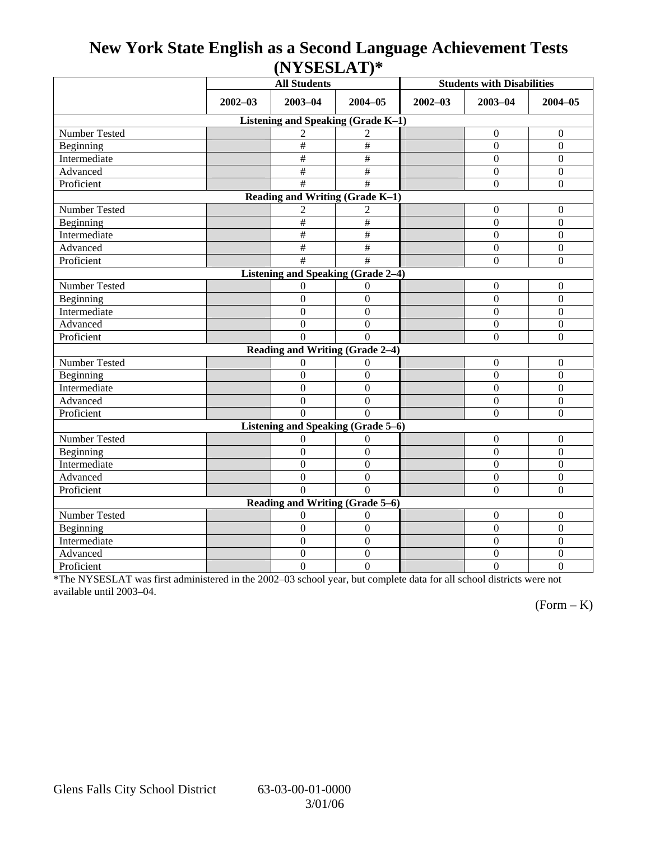## **New York State English as a Second Language Achievement Tests (NYSESLAT)\***

|                                    | <b>All Students</b> |                                 |                           | <b>Students with Disabilities</b> |                  |                  |  |  |  |
|------------------------------------|---------------------|---------------------------------|---------------------------|-----------------------------------|------------------|------------------|--|--|--|
|                                    | $2002 - 03$         | $2003 - 04$<br>$2004 - 05$      |                           | $2002 - 03$                       | $2003 - 04$      | $2004 - 05$      |  |  |  |
| Listening and Speaking (Grade K-1) |                     |                                 |                           |                                   |                  |                  |  |  |  |
| Number Tested                      |                     | $\overline{c}$                  | $\overline{2}$            |                                   | $\Omega$         | $\theta$         |  |  |  |
| Beginning                          |                     | #                               | $\#$                      |                                   | $\theta$         | $\mathbf{0}$     |  |  |  |
| Intermediate                       |                     | #                               | $\#$                      |                                   | $\Omega$         | $\boldsymbol{0}$ |  |  |  |
| Advanced                           |                     | $\#$                            | $\#$                      |                                   | $\Omega$         | $\boldsymbol{0}$ |  |  |  |
| Proficient                         |                     | #                               | $\#$                      |                                   | $\boldsymbol{0}$ | $\boldsymbol{0}$ |  |  |  |
| Reading and Writing (Grade K-1)    |                     |                                 |                           |                                   |                  |                  |  |  |  |
| Number Tested                      |                     | $\overline{c}$                  | 2                         |                                   | $\mathbf{0}$     | $\boldsymbol{0}$ |  |  |  |
| Beginning                          |                     | $\#$                            | $\#$                      |                                   | $\boldsymbol{0}$ | $\mathbf{0}$     |  |  |  |
| Intermediate                       |                     | #                               | $\overline{\overline{t}}$ |                                   | $\overline{0}$   | $\mathbf{0}$     |  |  |  |
| Advanced                           |                     | $\#$                            | $\#$                      |                                   | $\overline{0}$   | $\boldsymbol{0}$ |  |  |  |
| Proficient                         |                     | #                               | $\overline{\ddot{x}}$     |                                   | $\overline{0}$   | $\overline{0}$   |  |  |  |
| Listening and Speaking (Grade 2-4) |                     |                                 |                           |                                   |                  |                  |  |  |  |
| <b>Number Tested</b>               |                     | $\overline{0}$                  | $\theta$                  |                                   | $\boldsymbol{0}$ | $\boldsymbol{0}$ |  |  |  |
| Beginning                          |                     | $\boldsymbol{0}$                | $\boldsymbol{0}$          |                                   | $\boldsymbol{0}$ | $\boldsymbol{0}$ |  |  |  |
| Intermediate                       |                     | $\overline{0}$                  | $\overline{0}$            |                                   | $\Omega$         | $\boldsymbol{0}$ |  |  |  |
| Advanced                           |                     | $\boldsymbol{0}$                | $\Omega$                  |                                   | $\mathbf{0}$     | $\overline{0}$   |  |  |  |
| Proficient                         |                     | $\Omega$                        | $\Omega$                  |                                   | $\Omega$         | $\boldsymbol{0}$ |  |  |  |
|                                    |                     | Reading and Writing (Grade 2-4) |                           |                                   |                  |                  |  |  |  |
| Number Tested                      |                     | 0                               | 0                         |                                   | $\boldsymbol{0}$ | $\boldsymbol{0}$ |  |  |  |
| Beginning                          |                     | $\overline{0}$                  | $\mathbf{0}$              |                                   | $\overline{0}$   | $\mathbf{0}$     |  |  |  |
| Intermediate                       |                     | $\overline{0}$                  | $\theta$                  |                                   | $\Omega$         | $\overline{0}$   |  |  |  |
| Advanced                           |                     | $\boldsymbol{0}$                | $\boldsymbol{0}$          |                                   | $\boldsymbol{0}$ | $\boldsymbol{0}$ |  |  |  |
| Proficient                         |                     | $\Omega$                        | $\Omega$                  |                                   | $\theta$         | $\overline{0}$   |  |  |  |
| Listening and Speaking (Grade 5-6) |                     |                                 |                           |                                   |                  |                  |  |  |  |
| Number Tested                      |                     | $\theta$                        | $\Omega$                  |                                   | $\boldsymbol{0}$ | $\boldsymbol{0}$ |  |  |  |
| Beginning                          |                     | $\boldsymbol{0}$                | $\Omega$                  |                                   | $\Omega$         | $\boldsymbol{0}$ |  |  |  |
| Intermediate                       |                     | $\boldsymbol{0}$                | $\boldsymbol{0}$          |                                   | $\Omega$         | $\boldsymbol{0}$ |  |  |  |
| Advanced                           |                     | $\theta$                        | $\mathbf{0}$              |                                   | $\boldsymbol{0}$ | $\mathbf{0}$     |  |  |  |
| Proficient                         |                     | $\Omega$                        | $\Omega$                  |                                   | $\overline{0}$   | $\boldsymbol{0}$ |  |  |  |
| Reading and Writing (Grade 5–6)    |                     |                                 |                           |                                   |                  |                  |  |  |  |
| Number Tested                      |                     | $\theta$                        | $\mathbf{0}$              |                                   | $\mathbf{0}$     | $\boldsymbol{0}$ |  |  |  |
| Beginning                          |                     | $\boldsymbol{0}$                | $\overline{0}$            |                                   | $\overline{0}$   | $\mathbf{0}$     |  |  |  |
| Intermediate                       |                     | $\boldsymbol{0}$                | $\boldsymbol{0}$          |                                   | $\overline{0}$   | $\boldsymbol{0}$ |  |  |  |
| Advanced                           |                     | $\boldsymbol{0}$                | $\mathbf{0}$              |                                   | $\boldsymbol{0}$ | $\boldsymbol{0}$ |  |  |  |
| Proficient                         |                     | $\overline{0}$                  | $\overline{0}$            |                                   | $\overline{0}$   | $\overline{0}$   |  |  |  |

\*The NYSESLAT was first administered in the 2002–03 school year, but complete data for all school districts were not available until 2003–04.

 $(Form - K)$